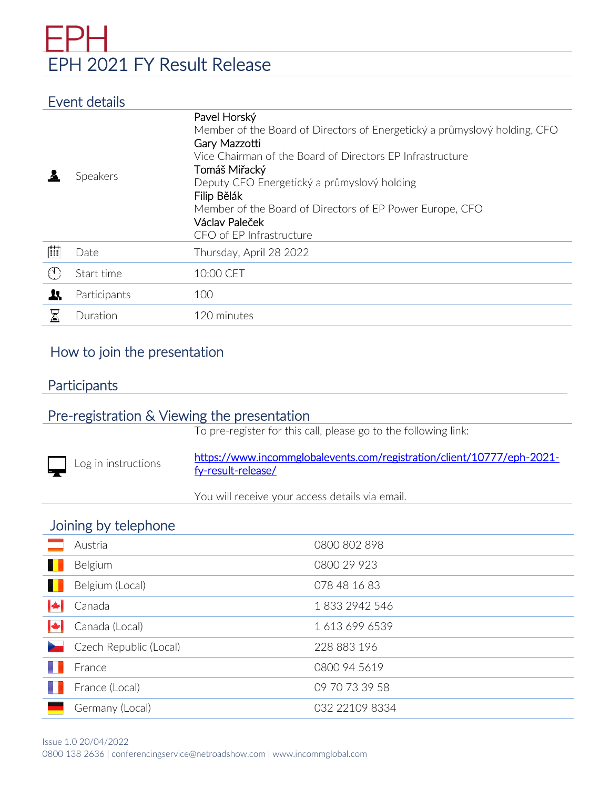# EPH 2021 FY Result Release

## Event details

|                 | Speakers     | Pavel Horský<br>Member of the Board of Directors of Energetický a průmyslový holding, CFO<br>Gary Mazzotti<br>Vice Chairman of the Board of Directors FP Infrastructure<br>Tomáš Miřacký<br>Deputy CFO Energetický a průmyslový holding<br>Filip Bělák<br>Member of the Board of Directors of EP Power Europe, CFO<br>Václav Paleček<br>CFO of EP Infrastructure |
|-----------------|--------------|------------------------------------------------------------------------------------------------------------------------------------------------------------------------------------------------------------------------------------------------------------------------------------------------------------------------------------------------------------------|
| 曲               | Date         | Thursday, April 28 2022                                                                                                                                                                                                                                                                                                                                          |
| $(\mathcal{C})$ | Start time   | 10:00 CET                                                                                                                                                                                                                                                                                                                                                        |
| R               | Participants | 100                                                                                                                                                                                                                                                                                                                                                              |
| $\boxtimes$     | Duration     | 120 minutes                                                                                                                                                                                                                                                                                                                                                      |

## How to join the presentation

## **Participants**

## Pre-registration & Viewing the presentation

To pre-register for this call, please go to the following link:

ŕ Log in instructions [https://www.incommglobalevents.com/registration/client/10777/eph-2021](https://www.incommglobalevents.com/registration/client/10777/eph-2021-fy-result-release/) [fy-result-release/](https://www.incommglobalevents.com/registration/client/10777/eph-2021-fy-result-release/) 

You will receive your access details via email.

### Joining by telephone

|           | Austria                | 0800 802 898   |
|-----------|------------------------|----------------|
|           | Belgium                | 0800 29 923    |
|           | Belgium (Local)        | 078 48 16 83   |
| I÷        | Canada                 | 18332942546    |
| $ \cdot $ | Canada (Local)         | 16136996539    |
|           | Czech Republic (Local) | 228 883 196    |
|           | France                 | 0800 94 5619   |
|           | France (Local)         | 09 70 73 39 58 |
|           | Germany (Local)        | 032 22109 8334 |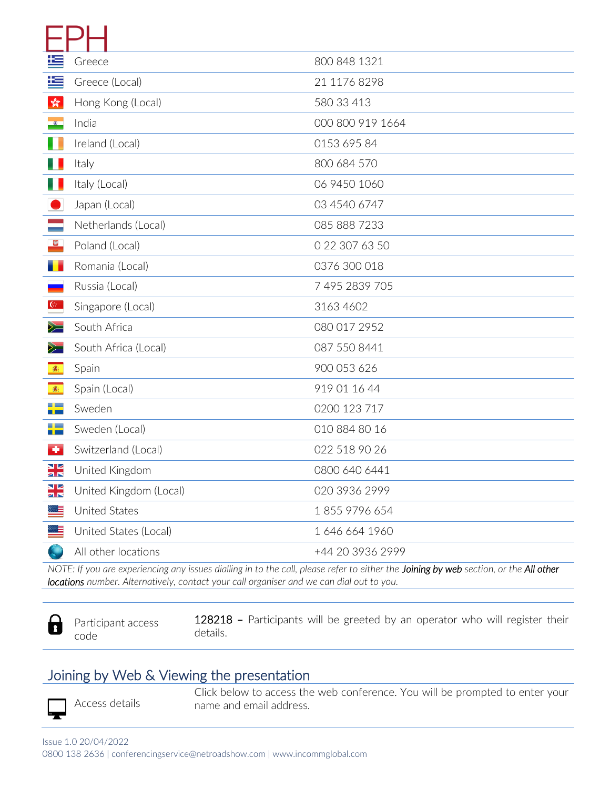| 华                                                   | Greece                 | 800 848 1321     |
|-----------------------------------------------------|------------------------|------------------|
| 垤                                                   | Greece (Local)         | 21 1176 8298     |
| $\frac{\partial \mathcal{L}}{\partial \mathcal{L}}$ | Hong Kong (Local)      | 580 33 413       |
| $\bullet$                                           | India                  | 000 800 919 1664 |
| I.                                                  | Ireland (Local)        | 0153 695 84      |
| U                                                   | Italy                  | 800 684 570      |
|                                                     | Italy (Local)          | 06 9450 1060     |
|                                                     | Japan (Local)          | 03 4540 6747     |
|                                                     | Netherlands (Local)    | 085 888 7233     |
| 第                                                   | Poland (Local)         | 0 22 307 63 50   |
|                                                     | Romania (Local)        | 0376 300 018     |
|                                                     | Russia (Local)         | 7 495 2839 705   |
| $\mathbb{G}^{\mathbb{Z}}$                           | Singapore (Local)      | 3163 4602        |
| $\geq$                                              | South Africa           | 080 017 2952     |
| $\geq$                                              | South Africa (Local)   | 087 550 8441     |
| 画                                                   | Spain                  | 900 053 626      |
| 赛                                                   | Spain (Local)          | 919 01 16 44     |
| ╊                                                   | Sweden                 | 0200 123 717     |
| ₩                                                   | Sweden (Local)         | 010 884 80 16    |
| $\bullet$                                           | Switzerland (Local)    | 022 518 90 26    |
| ыz<br>ar                                            | United Kingdom         | 0800 640 6441    |
| ыz<br>ar                                            | United Kingdom (Local) | 020 3936 2999    |
|                                                     | United States          | 18559796654      |
|                                                     | United States (Local)  | 1 646 664 1960   |
|                                                     | All other locations    | +44 20 3936 2999 |
|                                                     |                        |                  |

*NOTE: If you are experiencing any issues dialling in to the call, please refer to either the Joining by web section, or the All other locations number. Alternatively, contact your call organiser and we can dial out to you.*

- А
- Participant access code

128218 – Participants will be greeted by an operator who will register their details.

## Joining by Web & Viewing the presentation

Access details

Click below to access the web conference. You will be prompted to enter your name and email address.